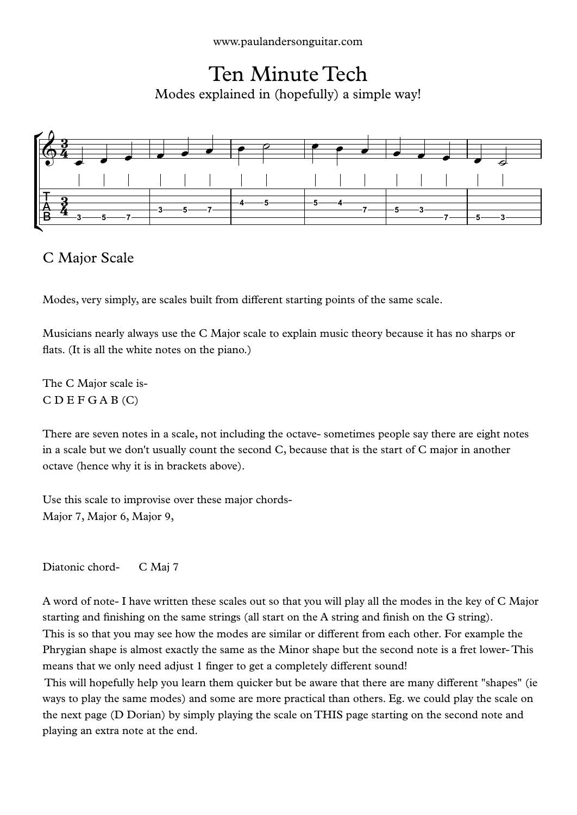# Ten Minute Tech Modes explained in (hopefully) a simple way!



## C Major Scale

Modes, very simply, are scales built from different starting points of the same scale.

Musicians nearly always use the C Major scale to explain music theory because it has no sharps or flats. (It is all the white notes on the piano.)

The C Major scale is-  $C$  D E F G A B  $(C)$ 

There are seven notes in a scale, not including the octave- sometimes people say there are eight notes in a scale but we don't usually count the second C, because that is the start of C major in another octave (hence why it is in brackets above).

Use this scale to improvise over these major chords- Major 7, Major 6, Major 9,

Diatonic chord- C Maj 7

A word of note- I have written these scales out so that you will play all the modes in the key of C Major starting and finishing on the same strings (all start on the A string and finish on the G string). This is so that you may see how the modes are similar or different from each other. For example the Phrygian shape is almost exactly the same as the Minor shape but the second note is a fret lower- This means that we only need adjust 1 finger to get a completely different sound!

This will hopefully help you learn them quicker but be aware that there are many different "shapes" (ie ways to play the same modes) and some are more practical than others. Eg. we could play the scale on the next page (D Dorian) by simply playing the scale on THIS page starting on the second note and playing an extra note at the end.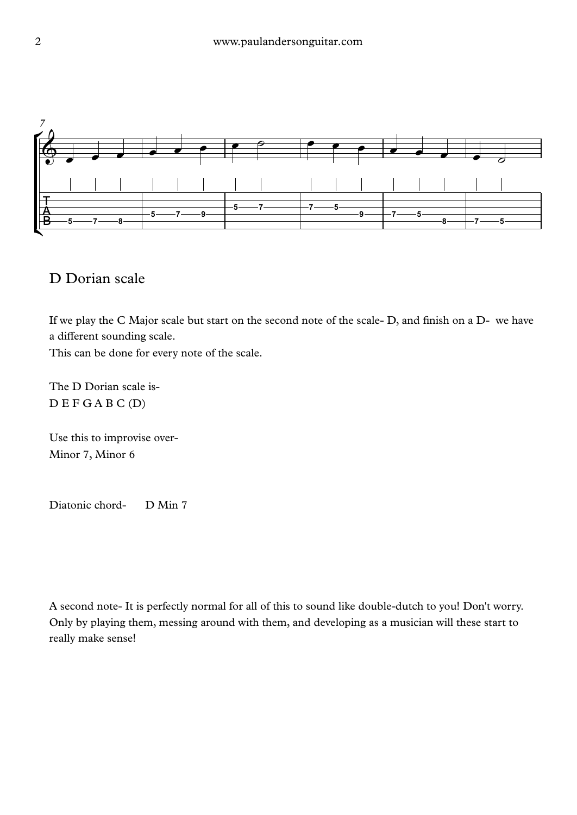

### D Dorian scale

If we play the C Major scale but start on the second note of the scale- D, and finish on a D- we have a different sounding scale.

This can be done for every note of the scale.

The D Dorian scale is- D EF G A B C (D)

Use this to improvise over- Minor 7, Minor 6

Diatonic chord- D Min 7

A second note- It is perfectly normal for all of this to sound like double-dutch to you! Don't worry. Only by playing them, messing around with them, and developing as a musician will these start to really make sense!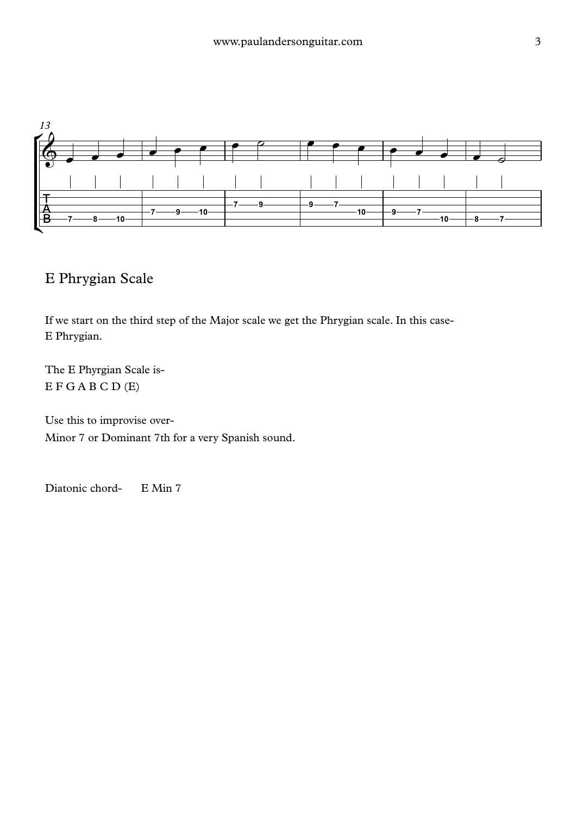

### E Phrygian Scale

If we start on the third step of the Major scale we get the Phrygian scale. In this case- E Phrygian.

The E Phyrgian Scale is- E F G A B C D (E)

Use this to improvise over- Minor 7 or Dominant 7th for a very Spanish sound.

Diatonic chord- E Min 7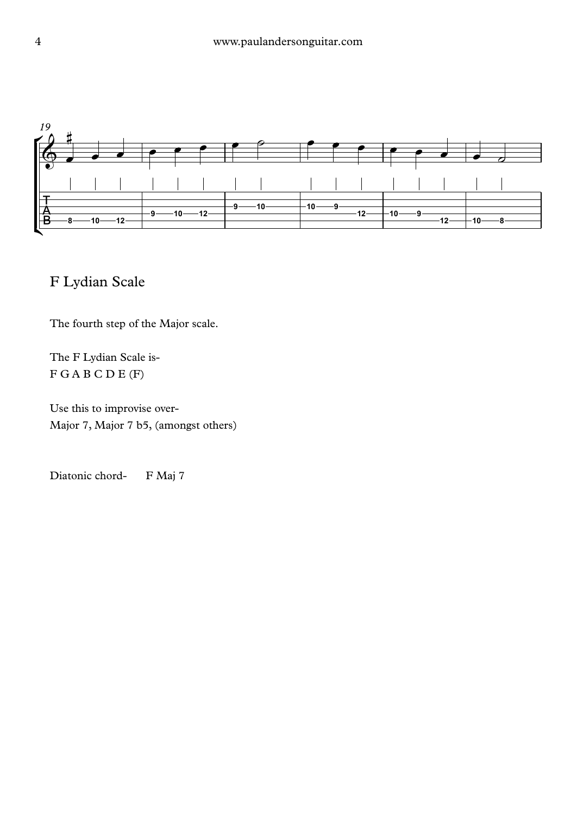

## F Lydian Scale

The fourth step of the Major scale.

The F Lydian Scale is- F G A B C D E (F)

Use this to improvise over- Major 7, Major 7 b5, (amongst others)

Diatonic chord- F Maj 7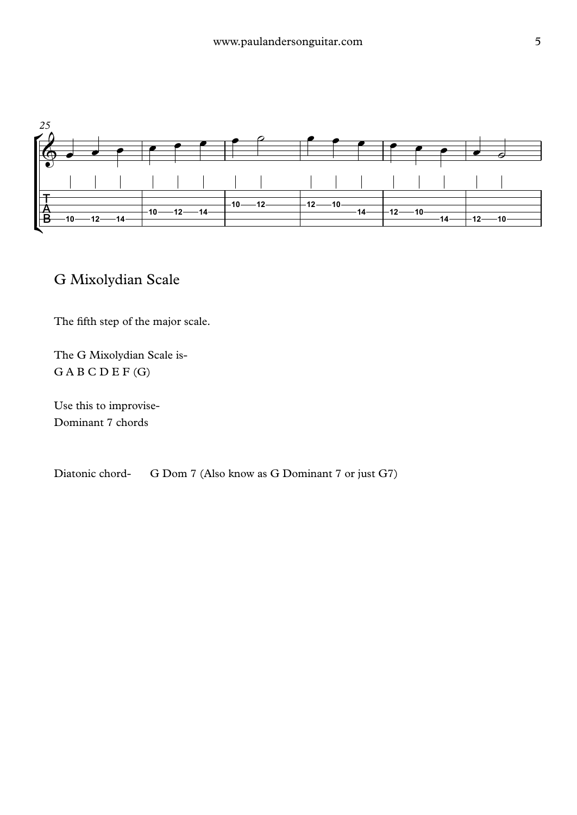

#### G Mixolydian Scale

The fifth step of the major scale.

The G Mixolydian Scale is- G A B C D EF (G)

Use this to improvise- Dominant 7 chords

Diatonic chord- G Dom 7 (Also know as G Dominant 7 or just G7)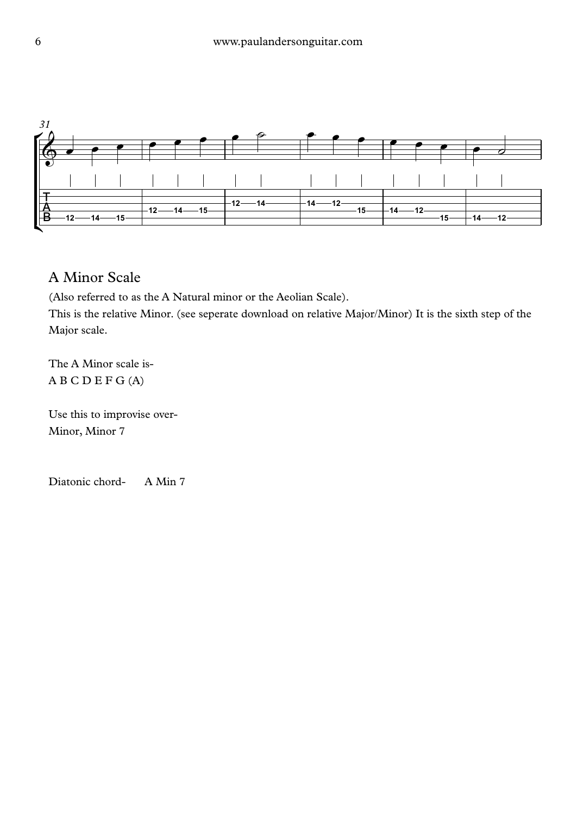

## A Minor Scale

(Also referred to as the A Natural minor or the Aeolian Scale).

This is the relative Minor. (see seperate download on relative Major/Minor) It is the sixth step of the Major scale.

The A Minor scale is- A B C D EF G (A)

Use this to improvise over- Minor, Minor 7

Diatonic chord- A Min 7